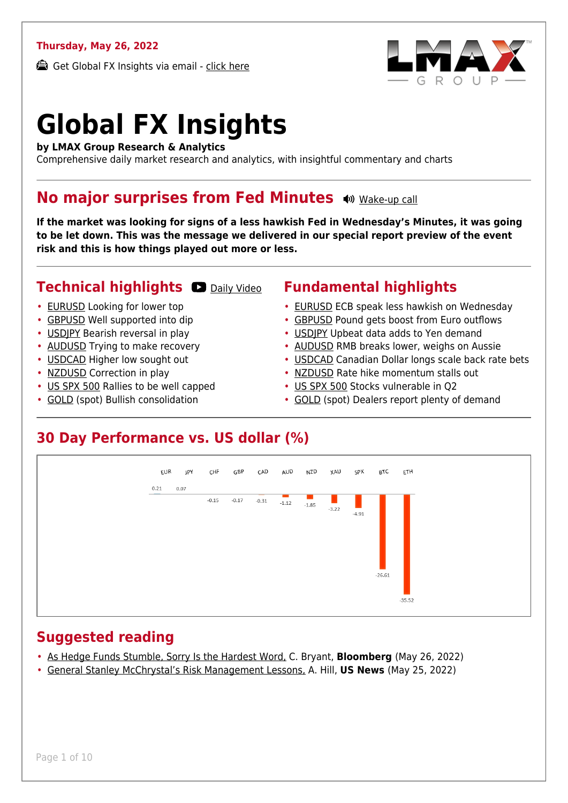#### **Thursday, May 26, 2022**

Get Global FX Insights via email - [click here](https://www.lmax.com/blog/global-fx-insights/sign-up/?src=gfxipdf)



# **Global FX Insights**

**by LMAX Group Research & Analytics**

Comprehensive daily market research and analytics, with insightful commentary and charts

#### **No major surprises from Fed Minutes**  $\bullet$  **[Wake-up call](https://www.lmax.com/blog/global-fx-insights/2022/05/26/no-major-surprises-from-fed-minutes/?utm_source=GlobalFXInsights-Newsletter&utm_medium=Email&utm_campaign=GlobalFXInsights&audio=play#wakeup-53678)**

**If the market was looking for signs of a less hawkish Fed in Wednesday's Minutes, it was going to be let down. This was the message we delivered in our special report preview of the event risk and this is how things played out more or less.**

#### **Technical highlights CO** [Daily Video](https://www.lmax.com/blog/global-fx-insights/2022/05/26/no-major-surprises-from-fed-minutes/?utm_source=GlobalFXInsights-Newsletter&utm_medium=Email&utm_campaign=GlobalFXInsights&popup=watch#charttalk-53678)

- [EURUSD](#page-1-0) Looking for lower top
- [GBPUSD](#page-2-0) Well supported into dip
- [USDJPY](#page-3-0) Bearish reversal in play
- [AUDUSD](#page-4-0) Trying to make recovery
- [USDCAD](#page-5-0) Higher low sought out
- [NZDUSD](#page-6-0) Correction in play
- [US SPX 500](#page-7-0) Rallies to be well capped
- [GOLD](#page-8-0) (spot) Bullish consolidation

#### **Fundamental highlights**

- [EURUSD](#page-1-1) ECB speak less hawkish on Wednesday
- [GBPUSD](#page-2-1) Pound gets boost from Euro outflows
- [USDJPY](#page-3-1) Upbeat data adds to Yen demand
- [AUDUSD](#page-4-1) RMB breaks lower, weighs on Aussie
- [USDCAD](#page-5-1) Canadian Dollar longs scale back rate bets
- [NZDUSD](#page-6-1) Rate hike momentum stalls out
- [US SPX 500](#page-7-1) Stocks vulnerable in Q2
- [GOLD](#page-8-1) (spot) Dealers report plenty of demand

#### **30 Day Performance vs. US dollar (%)**



#### **Suggested reading**

- [As Hedge Funds Stumble, Sorry Is the Hardest Word,](https://www.lmax.com/blog/global-fx-insights/2022/05/26/no-major-surprises-from-fed-minutes/?read=https://www.bloomberg.com/opinion/articles/2022-05-26/as-hedge-funds-stumble-sorry-is-the-hardest-word?srnd=opinion-markets) C. Bryant, **Bloomberg** (May 26, 2022)
- [General Stanley McChrystal's Risk Management Lessons,](https://www.lmax.com/blog/global-fx-insights/2022/05/26/no-major-surprises-from-fed-minutes/?read=https://www.ft.com/video/0cc24998-3c79-4b24-8f30-638c8a26eb4a?playlist-name=latest&playlist-offset=0) A. Hill, **US News** (May 25, 2022)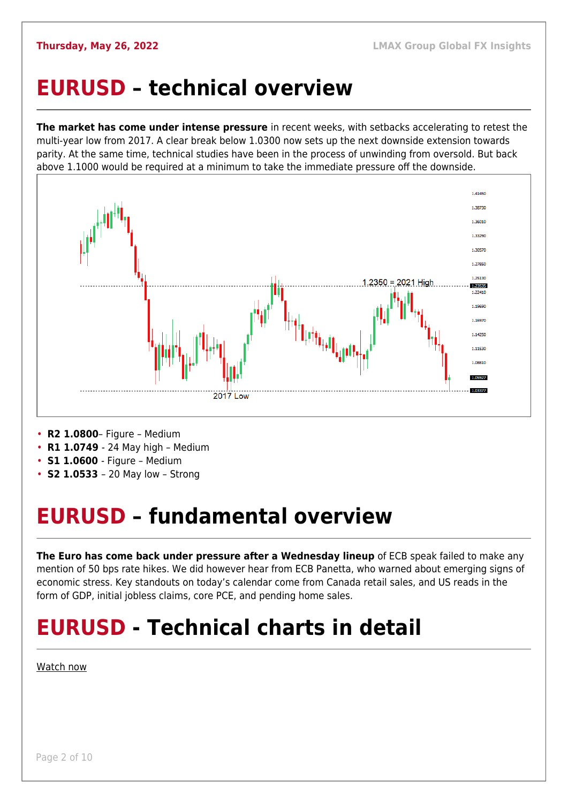#### <span id="page-1-0"></span>**EURUSD – technical overview**

**The market has come under intense pressure** in recent weeks, with setbacks accelerating to retest the multi-year low from 2017. A clear break below 1.0300 now sets up the next downside extension towards parity. At the same time, technical studies have been in the process of unwinding from oversold. But back above 1.1000 would be required at a minimum to take the immediate pressure off the downside.



- **R2 1.0800** Figure Medium
- **R1 1.0749**  24 May high Medium
- **S1 1.0600**  Figure Medium
- **S2 1.0533**  20 May low Strong

## <span id="page-1-1"></span>**EURUSD – fundamental overview**

**The Euro has come back under pressure after a Wednesday lineup** of ECB speak failed to make any mention of 50 bps rate hikes. We did however hear from ECB Panetta, who warned about emerging signs of economic stress. Key standouts on today's calendar come from Canada retail sales, and US reads in the form of GDP, initial jobless claims, core PCE, and pending home sales.

## **EURUSD - Technical charts in detail**

[Watch now](https://youtu.be/KIAuQ9hDSNU)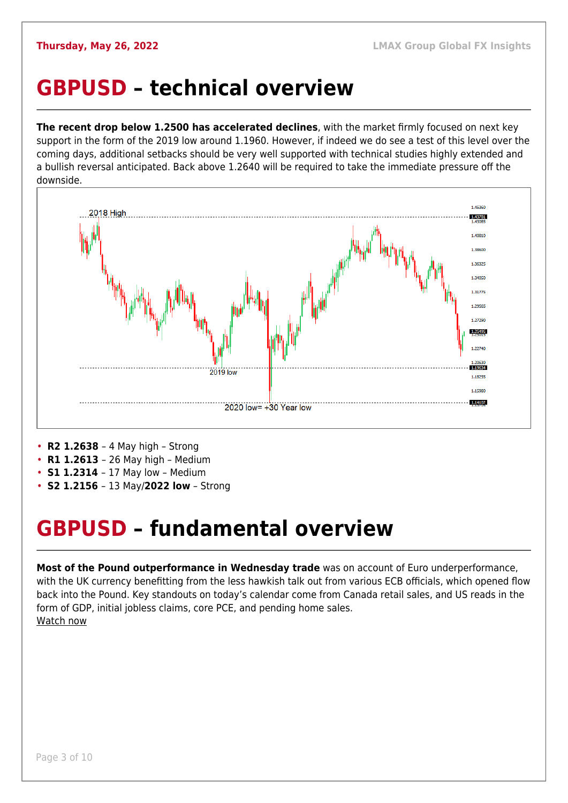#### <span id="page-2-0"></span>**GBPUSD – technical overview**

**The recent drop below 1.2500 has accelerated declines**, with the market firmly focused on next key support in the form of the 2019 low around 1.1960. However, if indeed we do see a test of this level over the coming days, additional setbacks should be very well supported with technical studies highly extended and a bullish reversal anticipated. Back above 1.2640 will be required to take the immediate pressure off the downside.



- **R2 1.2638**  4 May high Strong
- **R1 1.2613**  26 May high Medium
- **S1 1.2314**  17 May low Medium
- **S2 1.2156**  13 May/**2022 low** Strong

## <span id="page-2-1"></span>**GBPUSD – fundamental overview**

**Most of the Pound outperformance in Wednesday trade** was on account of Euro underperformance, with the UK currency benefitting from the less hawkish talk out from various ECB officials, which opened flow back into the Pound. Key standouts on today's calendar come from Canada retail sales, and US reads in the form of GDP, initial jobless claims, core PCE, and pending home sales. [Watch now](https://youtu.be/Lpkiv0nd_5E)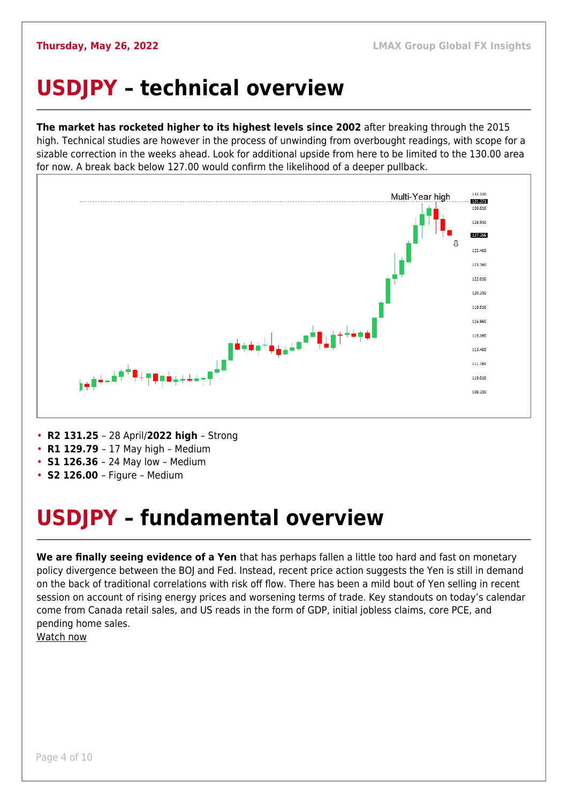## <span id="page-3-0"></span>**USDJPY – technical overview**

**The market has rocketed higher to its highest levels since 2002** after breaking through the 2015 high. Technical studies are however in the process of unwinding from overbought readings, with scope for a sizable correction in the weeks ahead. Look for additional upside from here to be limited to the 130.00 area for now. A break back below 127.00 would confirm the likelihood of a deeper pullback.



- **R2 131.25**  28 April/**2022 high**  Strong
- **R1 129.79**  17 May high Medium
- **S1 126.36**  24 May low Medium
- **S2 126.00**  Figure Medium

## <span id="page-3-1"></span>**USDJPY – fundamental overview**

**We are finally seeing evidence of a Yen** that has perhaps fallen a little too hard and fast on monetary policy divergence between the BOJ and Fed. Instead, recent price action suggests the Yen is still in demand on the back of traditional correlations with risk off flow. There has been a mild bout of Yen selling in recent session on account of rising energy prices and worsening terms of trade. Key standouts on today's calendar come from Canada retail sales, and US reads in the form of GDP, initial jobless claims, core PCE, and pending home sales.

[Watch now](https://youtu.be/7RmvBqNOdgc)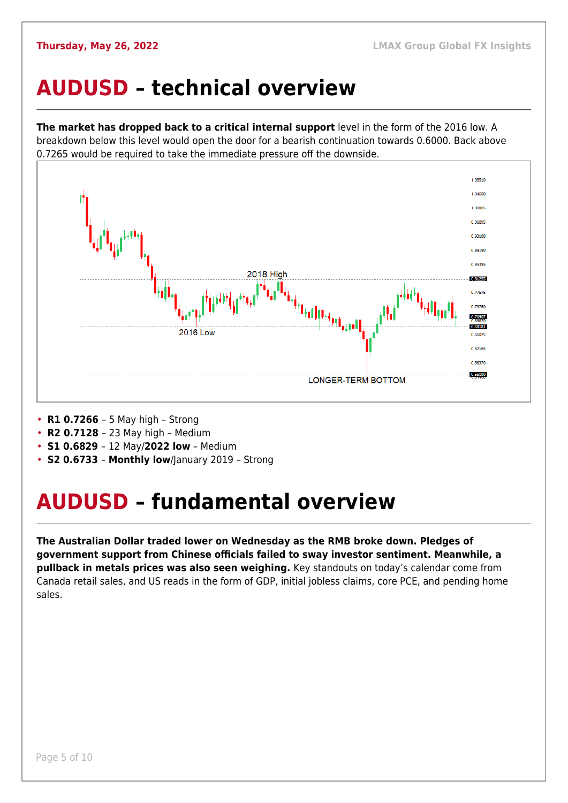#### <span id="page-4-0"></span>**AUDUSD – technical overview**

**The market has dropped back to a critical internal support** level in the form of the 2016 low. A breakdown below this level would open the door for a bearish continuation towards 0.6000. Back above 0.7265 would be required to take the immediate pressure off the downside.



- **R1 0.7266**  5 May high Strong
- **R2 0.7128**  23 May high Medium
- **S1 0.6829**  12 May/**2022 low** Medium
- **S2 0.6733 Monthly low**/January 2019 Strong

## <span id="page-4-1"></span>**AUDUSD – fundamental overview**

**The Australian Dollar traded lower on Wednesday as the RMB broke down. Pledges of government support from Chinese officials failed to sway investor sentiment. Meanwhile, a pullback in metals prices was also seen weighing.** Key standouts on today's calendar come from Canada retail sales, and US reads in the form of GDP, initial jobless claims, core PCE, and pending home sales.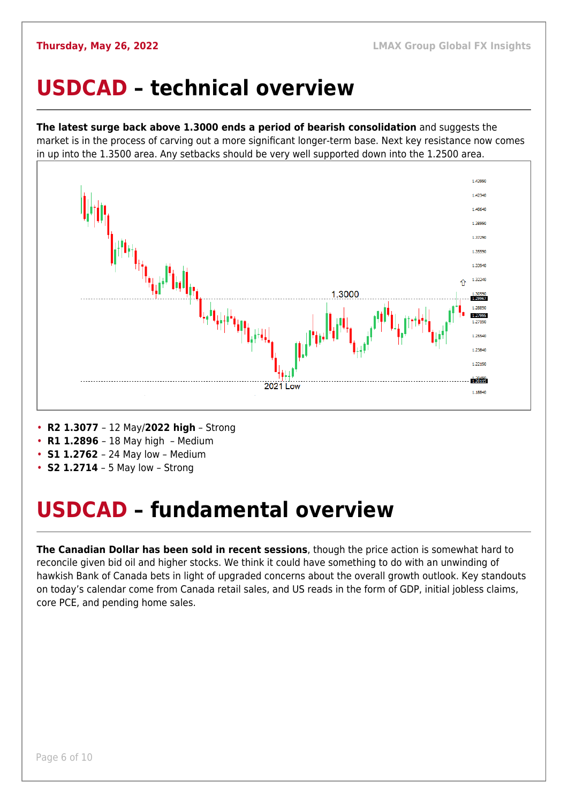#### <span id="page-5-0"></span>**USDCAD – technical overview**

**The latest surge back above 1.3000 ends a period of bearish consolidation** and suggests the market is in the process of carving out a more significant longer-term base. Next key resistance now comes in up into the 1.3500 area. Any setbacks should be very well supported down into the 1.2500 area.



- **R2 1.3077**  12 May/**2022 high** Strong
- **R1 1.2896**  18 May high Medium
- **S1 1.2762**  24 May low Medium
- **S2 1.2714** 5 May low Strong

#### <span id="page-5-1"></span>**USDCAD – fundamental overview**

**The Canadian Dollar has been sold in recent sessions**, though the price action is somewhat hard to reconcile given bid oil and higher stocks. We think it could have something to do with an unwinding of hawkish Bank of Canada bets in light of upgraded concerns about the overall growth outlook. Key standouts on today's calendar come from Canada retail sales, and US reads in the form of GDP, initial jobless claims, core PCE, and pending home sales.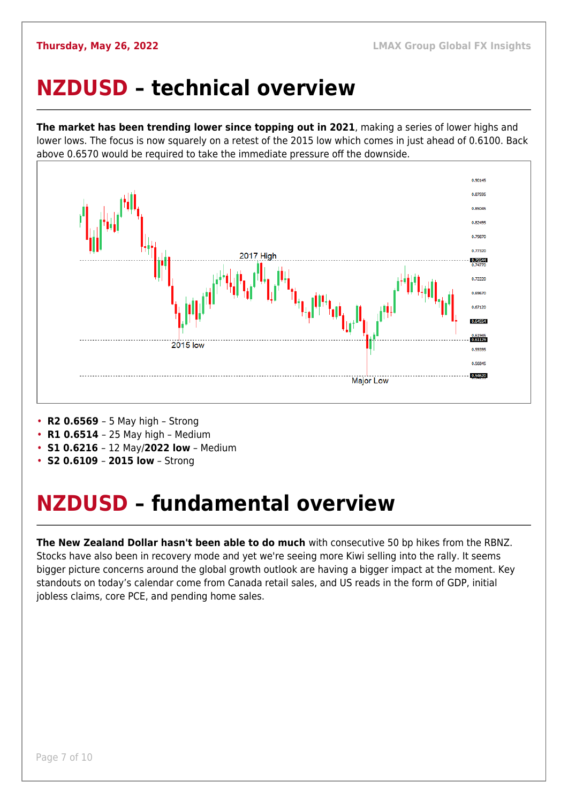#### <span id="page-6-0"></span>**NZDUSD – technical overview**

**The market has been trending lower since topping out in 2021**, making a series of lower highs and lower lows. The focus is now squarely on a retest of the 2015 low which comes in just ahead of 0.6100. Back above 0.6570 would be required to take the immediate pressure off the downside.



- **R2 0.6569**  5 May high Strong
- **R1 0.6514**  25 May high Medium
- **S1 0.6216**  12 May/**2022 low** Medium
- **S2 0.6109 2015 low** Strong

#### <span id="page-6-1"></span>**NZDUSD – fundamental overview**

**The New Zealand Dollar hasn't been able to do much** with consecutive 50 bp hikes from the RBNZ. Stocks have also been in recovery mode and yet we're seeing more Kiwi selling into the rally. It seems bigger picture concerns around the global growth outlook are having a bigger impact at the moment. Key standouts on today's calendar come from Canada retail sales, and US reads in the form of GDP, initial jobless claims, core PCE, and pending home sales.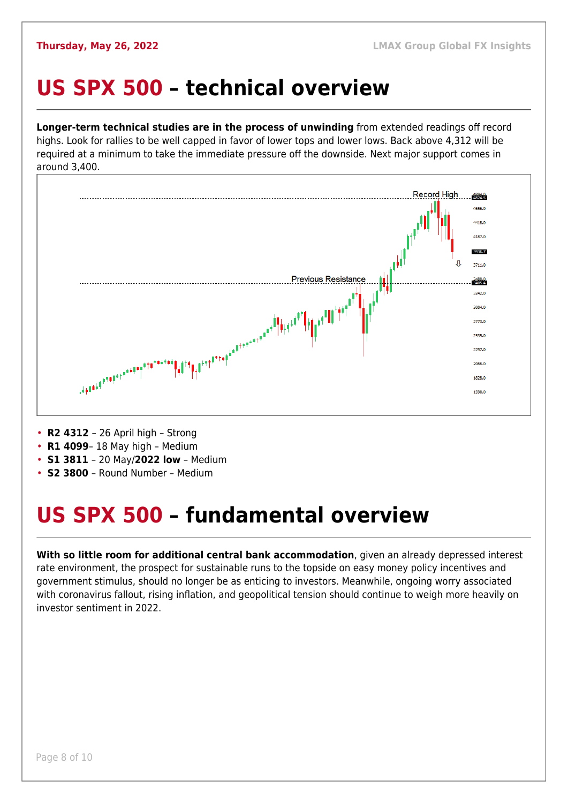#### <span id="page-7-0"></span>**US SPX 500 – technical overview**

**Longer-term technical studies are in the process of unwinding** from extended readings off record highs. Look for rallies to be well capped in favor of lower tops and lower lows. Back above 4,312 will be required at a minimum to take the immediate pressure off the downside. Next major support comes in around 3,400.



• **R2 4312** – 26 April high – Strong

- **R1 4099** 18 May high Medium
- **S1 3811**  20 May/**2022 low** Medium
- **S2 3800**  Round Number Medium

## <span id="page-7-1"></span>**US SPX 500 – fundamental overview**

**With so little room for additional central bank accommodation**, given an already depressed interest rate environment, the prospect for sustainable runs to the topside on easy money policy incentives and government stimulus, should no longer be as enticing to investors. Meanwhile, ongoing worry associated with coronavirus fallout, rising inflation, and geopolitical tension should continue to weigh more heavily on investor sentiment in 2022.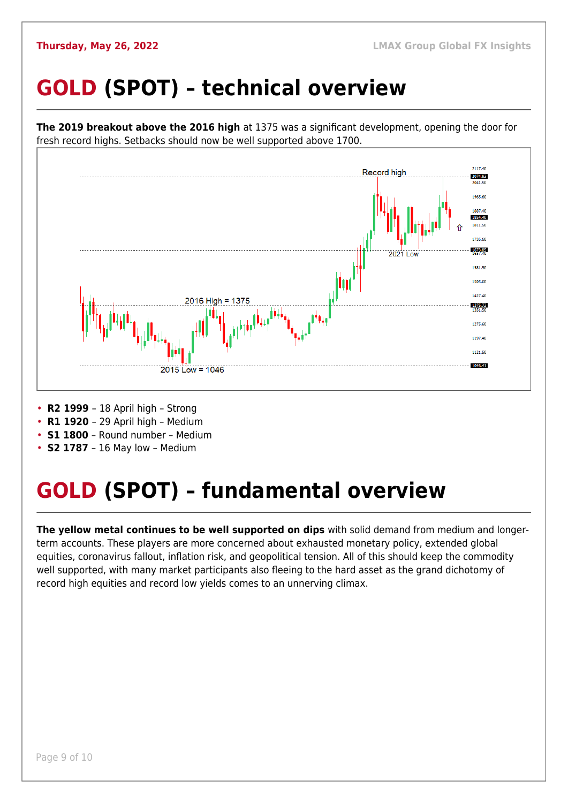## <span id="page-8-0"></span>**GOLD (SPOT) – technical overview**



- 
- **R1 1920**  29 April high Medium
- **S1 1800**  Round number Medium
- **S2 1787**  16 May low Medium

## <span id="page-8-1"></span>**GOLD (SPOT) – fundamental overview**

**The yellow metal continues to be well supported on dips** with solid demand from medium and longerterm accounts. These players are more concerned about exhausted monetary policy, extended global equities, coronavirus fallout, inflation risk, and geopolitical tension. All of this should keep the commodity well supported, with many market participants also fleeing to the hard asset as the grand dichotomy of record high equities and record low yields comes to an unnerving climax.